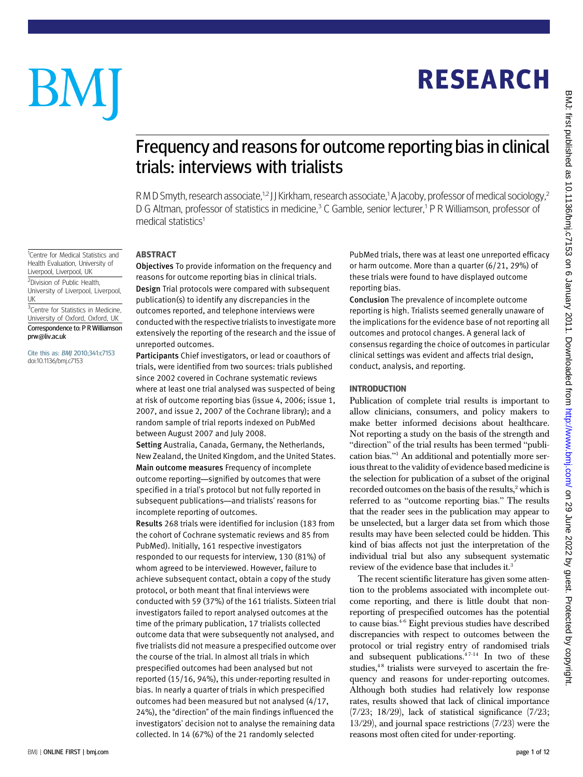## RESEARCH

# BM

### Frequency and reasons for outcome reporting bias in clinical trials: interviews with trialists

R M D Smyth, research associate,<sup>1,2</sup> J J Kirkham, research associate,<sup>1</sup> A Jacoby, professor of medical sociology,<sup>2</sup> D G Altman, professor of statistics in medicine,<sup>3</sup> C Gamble, senior lecturer,<sup>1</sup> P R Williamson, professor of medical statistics<sup>1</sup>

#### ABSTRACT

Health Evaluation, University of Liverpool, Liverpool, UK <sup>2</sup>Division of Public Health,

<sup>1</sup>Centre for Medical Statistics and

University of Liverpool, Liverpool, UK

<sup>3</sup>Centre for Statistics in Medicine, University of Oxford, Oxford, UK Correspondence to: P R Williamson prw@liv.ac.uk

Cite this as: BMJ 2010;341:c7153 doi:10.1136/bmj.c7153

Objectives To provide information on the frequency and reasons for outcome reporting bias in clinical trials. Design Trial protocols were compared with subsequent publication(s) to identify any discrepancies in the outcomes reported, and telephone interviews were conducted with the respective trialists to investigate more extensively the reporting of the research and the issue of unreported outcomes.

Participants Chief investigators, or lead or coauthors of trials, were identified from two sources: trials published since 2002 covered in Cochrane systematic reviews where at least one trial analysed was suspected of being at risk of outcome reporting bias (issue 4, 2006; issue 1, 2007, and issue 2, 2007 of the Cochrane library); and a random sample of trial reports indexed on PubMed between August 2007 and July 2008.

Setting Australia, Canada, Germany, the Netherlands, New Zealand, the United Kingdom, and the United States. Main outcome measures Frequency of incomplete outcome reporting—signified by outcomes that were specified in a trial's protocol but not fully reported in subsequent publications—and trialists' reasons for incomplete reporting of outcomes.

Results 268 trials were identified for inclusion (183 from the cohort of Cochrane systematic reviews and 85 from PubMed). Initially, 161 respective investigators responded to our requests for interview, 130 (81%) of whom agreed to be interviewed. However, failure to achieve subsequent contact, obtain a copy of the study protocol, or both meant that final interviews were conducted with 59 (37%) of the 161 trialists. Sixteen trial investigators failed to report analysed outcomes at the time of the primary publication, 17 trialists collected outcome data that were subsequently not analysed, and five trialists did not measure a prespecified outcome over the course of the trial. In almost all trials in which prespecified outcomes had been analysed but not reported (15/16, 94%), this under-reporting resulted in bias. In nearly a quarter of trials in which prespecified outcomes had been measured but not analysed (4/17, 24%), the "direction" of the main findings influenced the investigators' decision not to analyse the remaining data collected. In 14 (67%) of the 21 randomly selected

PubMed trials, there was at least one unreported efficacy or harm outcome. More than a quarter (6/21, 29%) of these trials were found to have displayed outcome reporting bias.

Conclusion The prevalence of incomplete outcome reporting is high. Trialists seemed generally unaware of the implications for the evidence base of not reporting all outcomes and protocol changes. A general lack of consensus regarding the choice of outcomes in particular clinical settings was evident and affects trial design, conduct, analysis, and reporting.

#### INTRODUCTION

Publication of complete trial results is important to allow clinicians, consumers, and policy makers to make better informed decisions about healthcare. Not reporting a study on the basis of the strength and "direction" of the trial results has been termed "publication bias."<sup>1</sup> An additional and potentially more serious threat to the validity of evidence based medicine is the selection for publication of a subset of the original recorded outcomes on the basis of the results,<sup>2</sup> which is referred to as "outcome reporting bias." The results that the reader sees in the publication may appear to be unselected, but a larger data set from which those results may have been selected could be hidden. This kind of bias affects not just the interpretation of the individual trial but also any subsequent systematic review of the evidence base that includes it.<sup>3</sup>

The recent scientific literature has given some attention to the problems associated with incomplete outcome reporting, and there is little doubt that nonreporting of prespecified outcomes has the potential to cause bias.<sup>4-6</sup> Eight previous studies have described discrepancies with respect to outcomes between the protocol or trial registry entry of randomised trials and subsequent publications. $47-14$  In two of these studies,<sup>48</sup> trialists were surveyed to ascertain the frequency and reasons for under-reporting outcomes. Although both studies had relatively low response rates, results showed that lack of clinical importance  $(7/23; 18/29)$ , lack of statistical significance  $(7/23;$ 13/29), and journal space restrictions (7/23) were the reasons most often cited for under-reporting.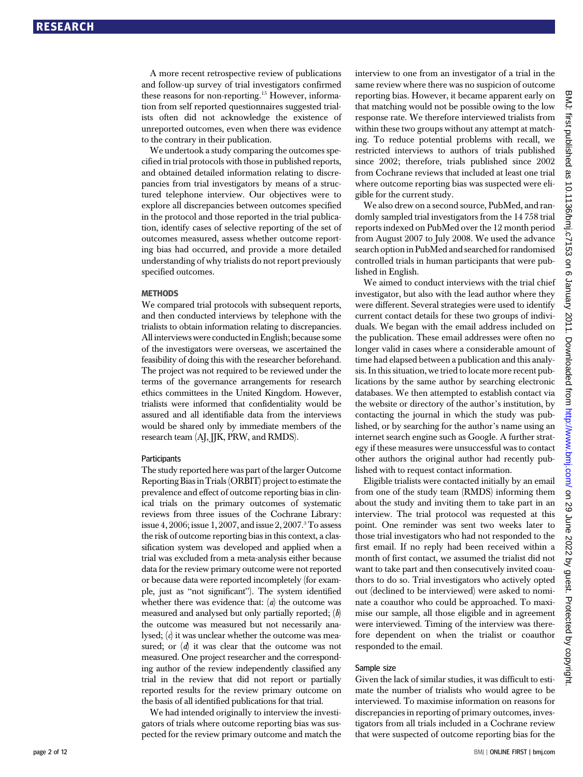A more recent retrospective review of publications and follow-up survey of trial investigators confirmed these reasons for non-reporting.<sup>15</sup> However, information from self reported questionnaires suggested trialists often did not acknowledge the existence of unreported outcomes, even when there was evidence to the contrary in their publication.

We undertook a study comparing the outcomes specified in trial protocols with those in published reports, and obtained detailed information relating to discrepancies from trial investigators by means of a structured telephone interview. Our objectives were to explore all discrepancies between outcomes specified in the protocol and those reported in the trial publication, identify cases of selective reporting of the set of outcomes measured, assess whether outcome reporting bias had occurred, and provide a more detailed understanding of why trialists do not report previously specified outcomes.

#### **METHODS**

We compared trial protocols with subsequent reports, and then conducted interviews by telephone with the trialists to obtain information relating to discrepancies. All interviews were conducted in English; because some of the investigators were overseas, we ascertained the feasibility of doing this with the researcher beforehand. The project was not required to be reviewed under the terms of the governance arrangements for research ethics committees in the United Kingdom. However, trialists were informed that confidentiality would be assured and all identifiable data from the interviews would be shared only by immediate members of the research team (AJ, JJK, PRW, and RMDS).

#### **Participants**

The study reported here was part of the larger Outcome Reporting Bias in Trials (ORBIT) projectto estimate the prevalence and effect of outcome reporting bias in clinical trials on the primary outcomes of systematic reviews from three issues of the Cochrane Library: issue 4, 2006; issue 1, 2007, and issue 2, 2007. ${}^{3}$  To assess the risk of outcome reporting bias in this context, a classification system was developed and applied when a trial was excluded from a meta-analysis either because data for the review primary outcome were not reported or because data were reported incompletely (for example, just as "not significant"). The system identified whether there was evidence that:  $(a)$  the outcome was measured and analysed but only partially reported;  $(b)$ the outcome was measured but not necessarily analysed;  $\left( d \right)$  it was unclear whether the outcome was measured; or  $(d)$  it was clear that the outcome was not measured. One project researcher and the corresponding author of the review independently classified any trial in the review that did not report or partially reported results for the review primary outcome on the basis of all identified publications for that trial.

We had intended originally to interview the investigators of trials where outcome reporting bias was suspected for the review primary outcome and match the interview to one from an investigator of a trial in the same review where there was no suspicion of outcome reporting bias. However, it became apparent early on that matching would not be possible owing to the low response rate. We therefore interviewed trialists from within these two groups without any attempt at matching. To reduce potential problems with recall, we restricted interviews to authors of trials published since 2002; therefore, trials published since 2002 from Cochrane reviews that included at least one trial where outcome reporting bias was suspected were eligible for the current study.

We also drew on a second source, PubMed, and randomly sampled trial investigators from the 14 758 trial reports indexed on PubMed over the 12 month period from August 2007 to July 2008. We used the advance search option in PubMed and searched for randomised controlled trials in human participants that were published in English.

We aimed to conduct interviews with the trial chief investigator, but also with the lead author where they were different. Several strategies were used to identify current contact details for these two groups of individuals. We began with the email address included on the publication. These email addresses were often no longer valid in cases where a considerable amount of time had elapsed between a publication and this analysis. In this situation, we tried to locate more recent publications by the same author by searching electronic databases. We then attempted to establish contact via the website or directory of the author's institution, by contacting the journal in which the study was published, or by searching for the author's name using an internet search engine such as Google. A further strategy if these measures were unsuccessful was to contact other authors the original author had recently published with to request contact information.

Eligible trialists were contacted initially by an email from one of the study team (RMDS) informing them about the study and inviting them to take part in an interview. The trial protocol was requested at this point. One reminder was sent two weeks later to those trial investigators who had not responded to the first email. If no reply had been received within a month of first contact, we assumed the trialist did not want to take part and then consecutively invited coauthors to do so. Trial investigators who actively opted out (declined to be interviewed) were asked to nominate a coauthor who could be approached. To maximise our sample, all those eligible and in agreement were interviewed. Timing of the interview was therefore dependent on when the trialist or coauthor responded to the email.

#### Sample size

Given the lack of similar studies, it was difficult to estimate the number of trialists who would agree to be interviewed. To maximise information on reasons for discrepancies in reporting of primary outcomes, investigators from all trials included in a Cochrane review that were suspected of outcome reporting bias for the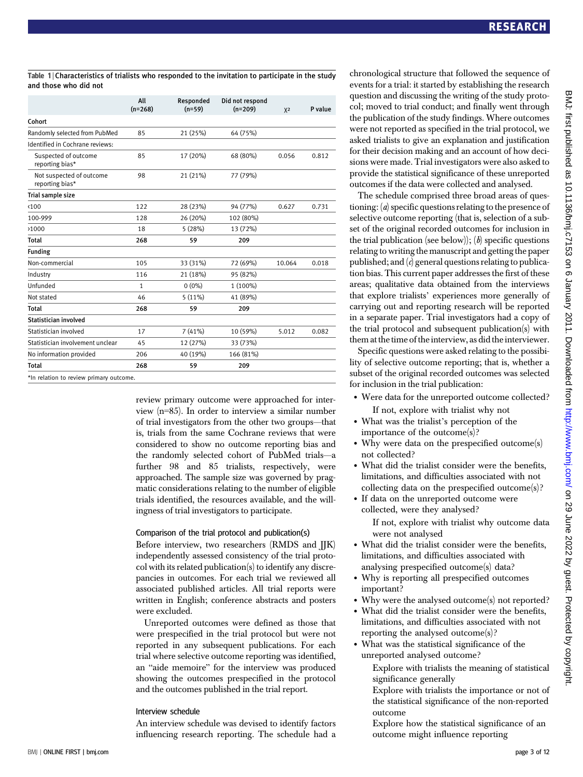Table 1 | Characteristics of trialists who responded to the invitation to participate in the study and those who did not

|                                             | All<br>$(n=268)$ | Responded<br>$(n=59)$ | Did not respond<br>$(n=209)$ | $X^2$  | P value |
|---------------------------------------------|------------------|-----------------------|------------------------------|--------|---------|
| Cohort                                      |                  |                       |                              |        |         |
| Randomly selected from PubMed               | 85               | 21 (25%)              | 64 (75%)                     |        |         |
| Identified in Cochrane reviews:             |                  |                       |                              |        |         |
| Suspected of outcome<br>reporting bias*     | 85               | 17 (20%)              | 68 (80%)                     | 0.056  | 0.812   |
| Not suspected of outcome<br>reporting bias* | 98               | 21 (21%)              | 77 (79%)                     |        |         |
| Trial sample size                           |                  |                       |                              |        |         |
| $\langle 100$                               | 122              | 28 (23%)              | 94 (77%)                     | 0.627  | 0.731   |
| 100-999                                     | 128              | 26 (20%)              | 102 (80%)                    |        |         |
| >1000                                       | 18               | 5(28%)                | 13 (72%)                     |        |         |
| <b>Total</b>                                | 268              | 59                    | 209                          |        |         |
| <b>Funding</b>                              |                  |                       |                              |        |         |
| Non-commercial                              | 105              | 33 (31%)              | 72 (69%)                     | 10.064 | 0.018   |
| Industry                                    | 116              | 21 (18%)              | 95 (82%)                     |        |         |
| Unfunded                                    | $\mathbf{1}$     | $0(0\%)$              | 1 (100%)                     |        |         |
| Not stated                                  | 46               | 5(11%)                | 41 (89%)                     |        |         |
| Total                                       | 268              | 59                    | 209                          |        |         |
| Statistician involved                       |                  |                       |                              |        |         |
| Statistician involved                       | 17               | 7 (41%)               | 10 (59%)                     | 5.012  | 0.082   |
| Statistician involvement unclear            | 45               | 12 (27%)              | 33 (73%)                     |        |         |
| No information provided                     | 206              | 40 (19%)              | 166 (81%)                    |        |         |
| Total                                       | 268              | 59                    | 209                          |        |         |
| *In relation to review primary outcome.     |                  |                       |                              |        |         |

review primary outcome were approached for interview (n=85). In order to interview a similar number of trial investigators from the other two groups—that is, trials from the same Cochrane reviews that were considered to show no outcome reporting bias and the randomly selected cohort of PubMed trials—a further 98 and 85 trialists, respectively, were approached. The sample size was governed by pragmatic considerations relating to the number of eligible trials identified, the resources available, and the willingness of trial investigators to participate.

#### Comparison of the trial protocol and publication(s)

Before interview, two researchers (RMDS and JJK) independently assessed consistency of the trial protocol with its related publication(s) to identify any discrepancies in outcomes. For each trial we reviewed all associated published articles. All trial reports were written in English; conference abstracts and posters were excluded.

Unreported outcomes were defined as those that were prespecified in the trial protocol but were not reported in any subsequent publications. For each trial where selective outcome reporting was identified, an "aide memoire" for the interview was produced showing the outcomes prespecified in the protocol and the outcomes published in the trial report.

#### Interview schedule

An interview schedule was devised to identify factors influencing research reporting. The schedule had a chronological structure that followed the sequence of events for a trial: it started by establishing the research question and discussing the writing of the study protocol; moved to trial conduct; and finally went through the publication of the study findings. Where outcomes were not reported as specified in the trial protocol, we asked trialists to give an explanation and justification for their decision making and an account of how decisions were made. Trial investigators were also asked to provide the statistical significance of these unreported outcomes if the data were collected and analysed.

The schedule comprised three broad areas of questioning:  $(a)$  specific questions relating to the presence of selective outcome reporting (that is, selection of a subset of the original recorded outcomes for inclusion in the trial publication (see below));  $(b)$  specific questions relating to writing the manuscript and getting the paper published; and  $(c)$  general questions relating to publication bias. This current paper addresses the first of these areas; qualitative data obtained from the interviews that explore trialists' experiences more generally of carrying out and reporting research will be reported in a separate paper. Trial investigators had a copy of the trial protocol and subsequent publication(s) with them at the time of the interview, as did the interviewer.

Specific questions were asked relating to the possibility of selective outcome reporting; that is, whether a subset of the original recorded outcomes was selected for inclusion in the trial publication:

- Were data for the unreported outcome collected? If not, explore with trialist why not
- What was the trialist's perception of the importance of the outcome(s)?
- Why were data on the prespecified outcome(s) not collected?
- What did the trialist consider were the benefits, limitations, and difficulties associated with not collecting data on the prespecified outcome(s)?
- If data on the unreported outcome were collected, were they analysed?

If not, explore with trialist why outcome data were not analysed

- What did the trialist consider were the benefits, limitations, and difficulties associated with analysing prespecified outcome(s) data?
- Why is reporting all prespecified outcomes important?
- Why were the analysed outcome(s) not reported?
- What did the trialist consider were the benefits, limitations, and difficulties associated with not reporting the analysed outcome(s)?
- What was the statistical significance of the unreported analysed outcome?

Explore with trialists the meaning of statistical significance generally

Explore with trialists the importance or not of the statistical significance of the non-reported outcome

Explore how the statistical significance of an outcome might influence reporting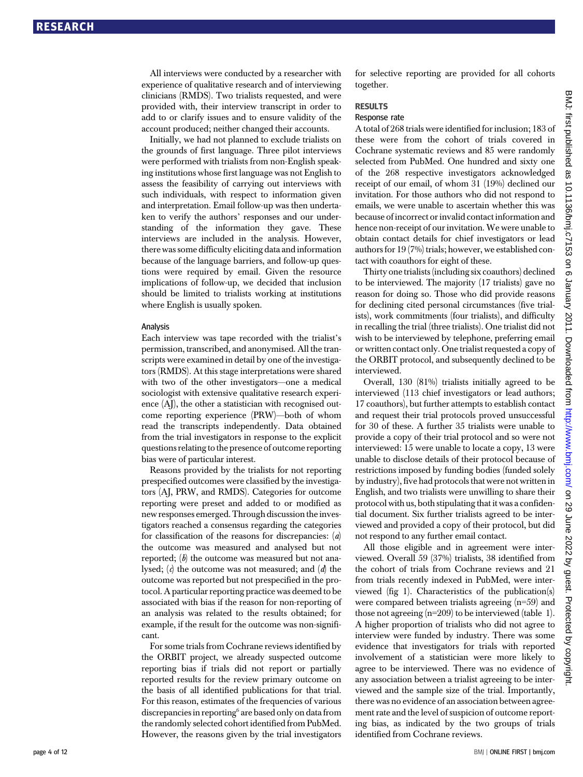All interviews were conducted by a researcher with experience of qualitative research and of interviewing clinicians (RMDS). Two trialists requested, and were provided with, their interview transcript in order to add to or clarify issues and to ensure validity of the account produced; neither changed their accounts.

Initially, we had not planned to exclude trialists on the grounds of first language. Three pilot interviews were performed with trialists from non-English speaking institutions whose first language was not English to assess the feasibility of carrying out interviews with such individuals, with respect to information given and interpretation. Email follow-up was then undertaken to verify the authors' responses and our understanding of the information they gave. These interviews are included in the analysis. However, there was some difficulty eliciting data and information because of the language barriers, and follow-up questions were required by email. Given the resource implications of follow-up, we decided that inclusion should be limited to trialists working at institutions where English is usually spoken.

#### Analysis

Each interview was tape recorded with the trialist's permission, transcribed, and anonymised. All the transcripts were examined in detail by one of the investigators (RMDS). At this stage interpretations were shared with two of the other investigators—one a medical sociologist with extensive qualitative research experience (AJ), the other a statistician with recognised outcome reporting experience (PRW)—both of whom read the transcripts independently. Data obtained from the trial investigators in response to the explicit questions relating to the presence of outcome reporting bias were of particular interest.

Reasons provided by the trialists for not reporting prespecified outcomes were classified by the investigators (AJ, PRW, and RMDS). Categories for outcome reporting were preset and added to or modified as new responses emerged. Through discussion the investigators reached a consensus regarding the categories for classification of the reasons for discrepancies:  $(a)$ the outcome was measured and analysed but not reported;  $(b)$  the outcome was measured but not analysed;  $(c)$  the outcome was not measured; and  $(d)$  the outcome was reported but not prespecified in the protocol. A particular reporting practice was deemed to be associated with bias if the reason for non-reporting of an analysis was related to the results obtained; for example, if the result for the outcome was non-significant.

For some trials from Cochrane reviews identified by the ORBIT project, we already suspected outcome reporting bias if trials did not report or partially reported results for the review primary outcome on the basis of all identified publications for that trial. For this reason, estimates of the frequencies of various discrepancies in reporting<sup>6</sup> are based only on data from the randomly selected cohort identified from PubMed. However, the reasons given by the trial investigators for selective reporting are provided for all cohorts together.

#### RESULTS

#### Response rate

A total of 268 trials were identified for inclusion; 183 of these were from the cohort of trials covered in Cochrane systematic reviews and 85 were randomly selected from PubMed. One hundred and sixty one of the 268 respective investigators acknowledged receipt of our email, of whom 31 (19%) declined our invitation. For those authors who did not respond to emails, we were unable to ascertain whether this was because of incorrect or invalid contact information and hence non-receipt of our invitation. We were unable to obtain contact details for chief investigators or lead authors for 19 (7%) trials; however, we established contact with coauthors for eight of these.

Thirty one trialists (including six coauthors) declined to be interviewed. The majority (17 trialists) gave no reason for doing so. Those who did provide reasons for declining cited personal circumstances (five trialists), work commitments (four trialists), and difficulty in recalling the trial (three trialists). One trialist did not wish to be interviewed by telephone, preferring email or written contact only. One trialist requested a copy of the ORBIT protocol, and subsequently declined to be interviewed.

Overall, 130 (81%) trialists initially agreed to be interviewed (113 chief investigators or lead authors; 17 coauthors), but further attempts to establish contact and request their trial protocols proved unsuccessful for 30 of these. A further 35 trialists were unable to provide a copy of their trial protocol and so were not interviewed: 15 were unable to locate a copy, 13 were unable to disclose details of their protocol because of restrictions imposed by funding bodies (funded solely by industry), five had protocols that were not written in English, and two trialists were unwilling to share their protocol with us, both stipulating that it was a confidential document. Six further trialists agreed to be interviewed and provided a copy of their protocol, but did not respond to any further email contact.

All those eligible and in agreement were interviewed. Overall 59 (37%) trialists, 38 identified from the cohort of trials from Cochrane reviews and 21 from trials recently indexed in PubMed, were interviewed (fig 1). Characteristics of the publication(s) were compared between trialists agreeing (n=59) and those not agreeing  $(n=209)$  to be interviewed (table 1). A higher proportion of trialists who did not agree to interview were funded by industry. There was some evidence that investigators for trials with reported involvement of a statistician were more likely to agree to be interviewed. There was no evidence of any association between a trialist agreeing to be interviewed and the sample size of the trial. Importantly, there was no evidence of an association between agreement rate and the level of suspicion of outcome reporting bias, as indicated by the two groups of trials identified from Cochrane reviews.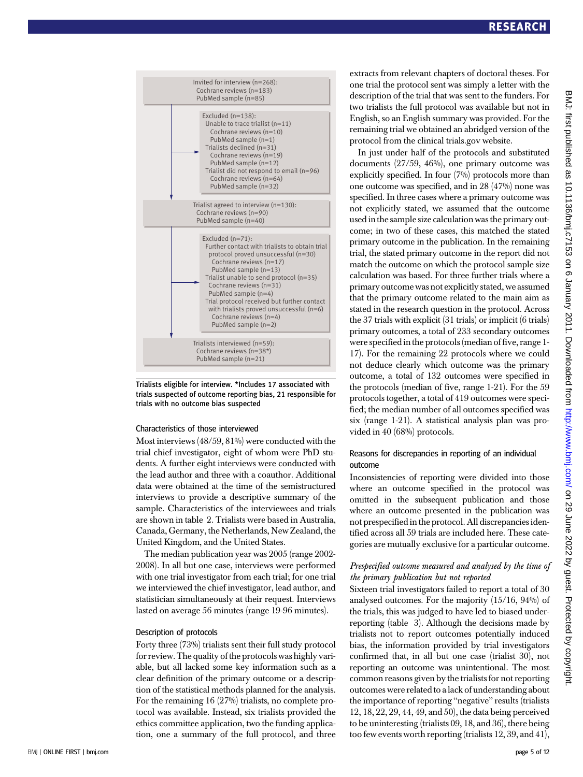

Trialists eligible for interview. \*Includes 17 associated with trials suspected of outcome reporting bias, 21 responsible for trials with no outcome bias suspected

#### Characteristics of those interviewed

Most interviews (48/59, 81%) were conducted with the trial chief investigator, eight of whom were PhD students. A further eight interviews were conducted with the lead author and three with a coauthor. Additional data were obtained at the time of the semistructured interviews to provide a descriptive summary of the sample. Characteristics of the interviewees and trials are shown in table 2. Trialists were based in Australia, Canada, Germany, the Netherlands, New Zealand, the United Kingdom, and the United States.

The median publication year was 2005 (range 2002- 2008). In all but one case, interviews were performed with one trial investigator from each trial; for one trial we interviewed the chief investigator, lead author, and statistician simultaneously at their request. Interviews lasted on average 56 minutes (range 19-96 minutes).

#### Description of protocols

Forty three (73%) trialists sent their full study protocol for review. The quality of the protocols was highly variable, but all lacked some key information such as a clear definition of the primary outcome or a description of the statistical methods planned for the analysis. For the remaining 16 (27%) trialists, no complete protocol was available. Instead, six trialists provided the ethics committee application, two the funding application, one a summary of the full protocol, and three extracts from relevant chapters of doctoral theses. For one trial the protocol sent was simply a letter with the description of the trial that was sent to the funders. For two trialists the full protocol was available but not in English, so an English summary was provided. For the remaining trial we obtained an abridged version of the protocol from the clinical trials.gov website.

In just under half of the protocols and substituted documents (27/59, 46%), one primary outcome was explicitly specified. In four (7%) protocols more than one outcome was specified, and in 28 (47%) none was specified. In three cases where a primary outcome was not explicitly stated, we assumed that the outcome used in the sample size calculation was the primary outcome; in two of these cases, this matched the stated primary outcome in the publication. In the remaining trial, the stated primary outcome in the report did not match the outcome on which the protocol sample size calculation was based. For three further trials where a primary outcome was not explicitly stated, we assumed that the primary outcome related to the main aim as stated in the research question in the protocol. Across the 37 trials with explicit (31 trials) or implicit (6 trials) primary outcomes, a total of 233 secondary outcomes were specified in the protocols (median of five, range 1- 17). For the remaining 22 protocols where we could not deduce clearly which outcome was the primary outcome, a total of 132 outcomes were specified in the protocols (median of five, range 1-21). For the 59 protocols together, a total of 419 outcomes were specified; the median number of all outcomes specified was six (range 1-21). A statistical analysis plan was provided in 40 (68%) protocols.

#### Reasons for discrepancies in reporting of an individual outcome

Inconsistencies of reporting were divided into those where an outcome specified in the protocol was omitted in the subsequent publication and those where an outcome presented in the publication was not prespecified in the protocol. All discrepancies identified across all 59 trials are included here. These categories are mutually exclusive for a particular outcome.

#### Prespecified outcome measured and analysed by the time of the primary publication but not reported

Sixteen trial investigators failed to report a total of 30 analysed outcomes. For the majority (15/16, 94%) of the trials, this was judged to have led to biased underreporting (table 3). Although the decisions made by trialists not to report outcomes potentially induced bias, the information provided by trial investigators confirmed that, in all but one case (trialist 30), not reporting an outcome was unintentional. The most common reasons given by the trialists for not reporting outcomes were related to a lack of understanding about the importance of reporting "negative" results (trialists 12, 18, 22, 29, 44, 49, and 50), the data being perceived to be uninteresting (trialists 09, 18, and 36), there being too few events worth reporting (trialists 12, 39, and 41),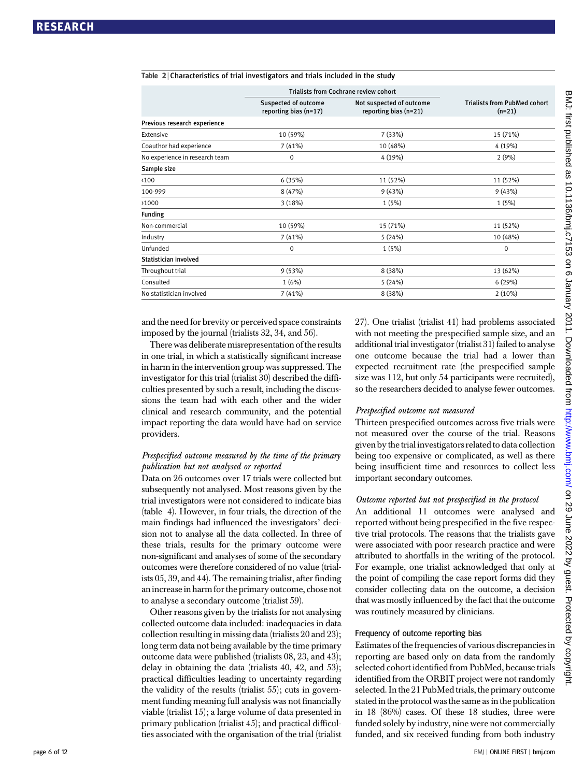#### Table 2 | Characteristics of trial investigators and trials included in the study

|                                | <b>Trialists from Cochrane review cohort</b>    |                                                     |                                                 |  |
|--------------------------------|-------------------------------------------------|-----------------------------------------------------|-------------------------------------------------|--|
|                                | Suspected of outcome<br>reporting bias $(n=17)$ | Not suspected of outcome<br>reporting bias $(n=21)$ | <b>Trialists from PubMed cohort</b><br>$(n=21)$ |  |
| Previous research experience   |                                                 |                                                     |                                                 |  |
| Extensive                      | 10 (59%)                                        | 7 (33%)                                             | 15 (71%)                                        |  |
| Coauthor had experience        | 7 (41%)                                         | 10 (48%)                                            | 4 (19%)                                         |  |
| No experience in research team | $\mathbf 0$                                     | 4 (19%)                                             | 2(9%)                                           |  |
| Sample size                    |                                                 |                                                     |                                                 |  |
| $\langle 100 \rangle$          | 6 (35%)                                         | 11 (52%)                                            | 11 (52%)                                        |  |
| 100-999                        | 8 (47%)                                         | 9(43%)                                              | 9(43%)                                          |  |
| >1000                          | 3(18%)                                          | 1(5%)                                               | 1(5%)                                           |  |
| <b>Funding</b>                 |                                                 |                                                     |                                                 |  |
| Non-commercial                 | 10 (59%)                                        | 15 (71%)                                            | 11 (52%)                                        |  |
| Industry                       | 7 (41%)                                         | 5(24%)                                              | 10 (48%)                                        |  |
| Unfunded                       | $\mathbf 0$                                     | 1(5%)                                               | $\mathbf 0$                                     |  |
| Statistician involved          |                                                 |                                                     |                                                 |  |
| Throughout trial               | 9 (53%)                                         | 8 (38%)                                             | 13 (62%)                                        |  |
| Consulted                      | 1(6%)                                           | 5(24%)                                              | 6(29%)                                          |  |
| No statistician involved       | 7 (41%)                                         | 8 (38%)                                             | $2(10\%)$                                       |  |

and the need for brevity or perceived space constraints imposed by the journal (trialists 32, 34, and 56).

There was deliberate misrepresentation of the results in one trial, in which a statistically significant increase in harm in the intervention group was suppressed. The investigator for this trial (trialist 30) described the difficulties presented by such a result, including the discussions the team had with each other and the wider clinical and research community, and the potential impact reporting the data would have had on service providers.

#### Prespecified outcome measured by the time of the primary publication but not analysed or reported

Data on 26 outcomes over 17 trials were collected but subsequently not analysed. Most reasons given by the trial investigators were not considered to indicate bias (table 4). However, in four trials, the direction of the main findings had influenced the investigators' decision not to analyse all the data collected. In three of these trials, results for the primary outcome were non-significant and analyses of some of the secondary outcomes were therefore considered of no value (trialists 05, 39, and 44). The remaining trialist, after finding an increase in harm for the primary outcome, chose not to analyse a secondary outcome (trialist 59).

Other reasons given by the trialists for not analysing collected outcome data included: inadequacies in data collection resulting in missing data (trialists 20 and 23); long term data not being available by the time primary outcome data were published (trialists 08, 23, and 43); delay in obtaining the data (trialists 40, 42, and 53); practical difficulties leading to uncertainty regarding the validity of the results (trialist 55); cuts in government funding meaning full analysis was not financially viable (trialist 15); a large volume of data presented in primary publication (trialist 45); and practical difficulties associated with the organisation of the trial (trialist 27). One trialist (trialist 41) had problems associated with not meeting the prespecified sample size, and an additional trial investigator (trialist 31) failed to analyse one outcome because the trial had a lower than expected recruitment rate (the prespecified sample size was 112, but only 54 participants were recruited), so the researchers decided to analyse fewer outcomes.

#### Prespecified outcome not measured

Thirteen prespecified outcomes across five trials were not measured over the course of the trial. Reasons given by the trial investigators related to data collection being too expensive or complicated, as well as there being insufficient time and resources to collect less important secondary outcomes.

#### Outcome reported but not prespecified in the protocol

An additional 11 outcomes were analysed and reported without being prespecified in the five respective trial protocols. The reasons that the trialists gave were associated with poor research practice and were attributed to shortfalls in the writing of the protocol. For example, one trialist acknowledged that only at the point of compiling the case report forms did they consider collecting data on the outcome, a decision that was mostly influenced by the fact that the outcome was routinely measured by clinicians.

#### Frequency of outcome reporting bias

Estimates of the frequencies of various discrepancies in reporting are based only on data from the randomly selected cohort identified from PubMed, because trials identified from the ORBIT project were not randomly selected. In the 21 PubMed trials, the primary outcome stated in the protocol was the same as in the publication in 18 (86%) cases. Of these 18 studies, three were funded solely by industry, nine were not commercially funded, and six received funding from both industry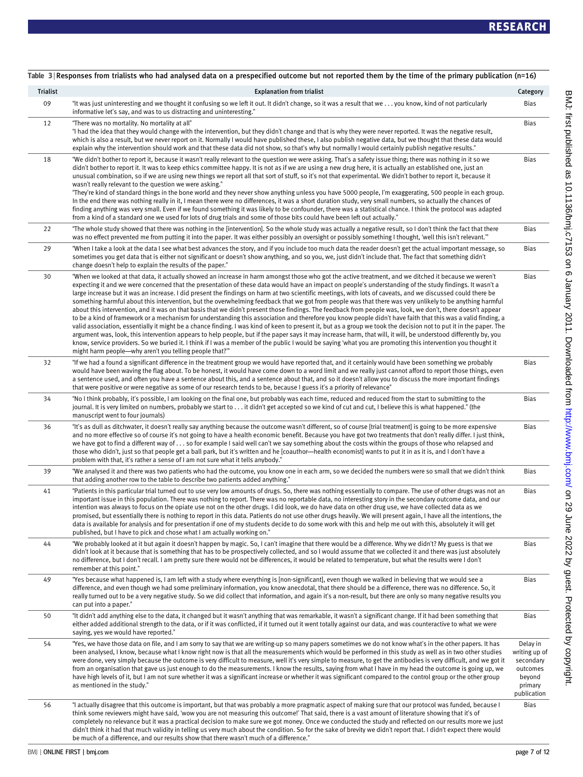| <b>Trialist</b> | <b>Explanation from trialist</b>                                                                                                                                                                                                                                                                                                                                                                                                                                                                                                                                                                                                                                                                                                                                                                                                                                                                                                                                                                                                                                                                                                                                                                                                                                                                                                                                                                                                                                                                                                                | Category                                                                               |
|-----------------|-------------------------------------------------------------------------------------------------------------------------------------------------------------------------------------------------------------------------------------------------------------------------------------------------------------------------------------------------------------------------------------------------------------------------------------------------------------------------------------------------------------------------------------------------------------------------------------------------------------------------------------------------------------------------------------------------------------------------------------------------------------------------------------------------------------------------------------------------------------------------------------------------------------------------------------------------------------------------------------------------------------------------------------------------------------------------------------------------------------------------------------------------------------------------------------------------------------------------------------------------------------------------------------------------------------------------------------------------------------------------------------------------------------------------------------------------------------------------------------------------------------------------------------------------|----------------------------------------------------------------------------------------|
| 09              | "It was just uninteresting and we thought it confusing so we left it out. It didn't change, so it was a result that we you know, kind of not particularly<br>informative let's say, and was to us distracting and uninteresting."                                                                                                                                                                                                                                                                                                                                                                                                                                                                                                                                                                                                                                                                                                                                                                                                                                                                                                                                                                                                                                                                                                                                                                                                                                                                                                               | <b>Bias</b>                                                                            |
| 12              | "There was no mortality. No mortality at all"<br>"I had the idea that they would change with the intervention, but they didn't change and that is why they were never reported. It was the negative result,<br>which is also a result, but we never report on it. Normally I would have published these, I also publish negative data, but we thought that these data would<br>explain why the intervention should work and that these data did not show, so that's why but normally I would certainly publish negative results."                                                                                                                                                                                                                                                                                                                                                                                                                                                                                                                                                                                                                                                                                                                                                                                                                                                                                                                                                                                                               | <b>Bias</b>                                                                            |
| 18              | "We didn't bother to report it, because it wasn't really relevant to the question we were asking. That's a safety issue thing; there was nothing in it so we<br>didn't bother to report it. It was to keep ethics committee happy. It is not as if we are using a new drug here, it is actually an established one, just an<br>unusual combination, so if we are using new things we report all that sort of stuff, so it's not that experimental. We didn't bother to report it, because it<br>wasn't really relevant to the question we were asking."<br>"They're kind of standard things in the bone world and they never show anything unless you have 5000 people, I'm exaggerating, 500 people in each group.<br>In the end there was nothing really in it, I mean there were no differences, it was a short duration study, very small numbers, so actually the chances of<br>finding anything was very small. Even if we found something it was likely to be confounder, there was a statistical chance. I think the protocol was adapted<br>from a kind of a standard one we used for lots of drug trials and some of those bits could have been left out actually."                                                                                                                                                                                                                                                                                                                                                                   | <b>Bias</b>                                                                            |
| 22              | "The whole study showed that there was nothing in the [intervention]. So the whole study was actually a negative result, so I don't think the fact that there<br>was no effect prevented me from putting it into the paper. It was either possibly an oversight or possibly something I thought, 'well this isn't relevant."                                                                                                                                                                                                                                                                                                                                                                                                                                                                                                                                                                                                                                                                                                                                                                                                                                                                                                                                                                                                                                                                                                                                                                                                                    | Bias                                                                                   |
| 29              | "When I take a look at the data I see what best advances the story, and if you include too much data the reader doesn't get the actual important message, so<br>sometimes you get data that is either not significant or doesn't show anything, and so you, we, just didn't include that. The fact that something didn't<br>change doesn't help to explain the results of the paper."                                                                                                                                                                                                                                                                                                                                                                                                                                                                                                                                                                                                                                                                                                                                                                                                                                                                                                                                                                                                                                                                                                                                                           | <b>Bias</b>                                                                            |
| 30              | "When we looked at that data, it actually showed an increase in harm amongst those who got the active treatment, and we ditched it because we weren't<br>expecting it and we were concerned that the presentation of these data would have an impact on people's understanding of the study findings. It wasn't a<br>large increase but it was an increase. I did present the findings on harm at two scientific meetings, with lots of caveats, and we discussed could there be<br>something harmful about this intervention, but the overwhelming feedback that we got from people was that there was very unlikely to be anything harmful<br>about this intervention, and it was on that basis that we didn't present those findings. The feedback from people was, look, we don't, there doesn't appear<br>to be a kind of framework or a mechanism for understanding this association and therefore you know people didn't have faith that this was a valid finding, a<br>valid association, essentially it might be a chance finding. I was kind of keen to present it, but as a group we took the decision not to put it in the paper. The<br>argument was, look, this intervention appears to help people, but if the paper says it may increase harm, that will, it will, be understood differently by, you<br>know, service providers. So we buried it. I think if I was a member of the public I would be saying 'what you are promoting this intervention you thought it<br>might harm people—why aren't you telling people that?"" | Bias                                                                                   |
| 32              | "If we had a found a significant difference in the treatment group we would have reported that, and it certainly would have been something we probably<br>would have been waving the flag about. To be honest, it would have come down to a word limit and we really just cannot afford to report those things, even<br>a sentence used, and often you have a sentence about this, and a sentence about that, and so it doesn't allow you to discuss the more important findings<br>that were positive or were negative as some of our research tends to be, because I guess it's a priority of relevance"                                                                                                                                                                                                                                                                                                                                                                                                                                                                                                                                                                                                                                                                                                                                                                                                                                                                                                                                      | <b>Bias</b>                                                                            |
| 34              | "No I think probably, it's possible, I am looking on the final one, but probably was each time, reduced and reduced from the start to submitting to the<br>journal. It is very limited on numbers, probably we start to  it didn't get accepted so we kind of cut and cut, I believe this is what happened." (the<br>manuscript went to four journals)                                                                                                                                                                                                                                                                                                                                                                                                                                                                                                                                                                                                                                                                                                                                                                                                                                                                                                                                                                                                                                                                                                                                                                                          | <b>Bias</b>                                                                            |
| 36              | "It's as dull as ditchwater, it doesn't really say anything because the outcome wasn't different, so of course [trial treatment] is going to be more expensive<br>and no more effective so of course it's not going to have a health economic benefit. Because you have got two treatments that don't really differ. I just think,<br>we have got to find a different way of so for example I said well can't we say something about the costs within the groups of those who relapsed and<br>those who didn't, just so that people get a ball park, but it's written and he [coauthor-health economist] wants to put it in as it is, and I don't have a<br>problem with that, it's rather a sense of I am not sure what it tells anybody."                                                                                                                                                                                                                                                                                                                                                                                                                                                                                                                                                                                                                                                                                                                                                                                                     | <b>Bias</b>                                                                            |
| 39              | "We analysed it and there was two patients who had the outcome, you know one in each arm, so we decided the numbers were so small that we didn't think<br>that adding another row to the table to describe two patients added anything."                                                                                                                                                                                                                                                                                                                                                                                                                                                                                                                                                                                                                                                                                                                                                                                                                                                                                                                                                                                                                                                                                                                                                                                                                                                                                                        | <b>Bias</b>                                                                            |
| 41              | "Patients in this particular trial turned out to use very low amounts of drugs. So, there was nothing essentially to compare. The use of other drugs was not an<br>important issue in this population. There was nothing to report. There was no reportable data, no interesting story in the secondary outcome data, and our<br>intention was always to focus on the opiate use not on the other drugs. I did look, we do have data on other drug use, we have collected data as we<br>promised, but essentially there is nothing to report in this data. Patients do not use other drugs heavily. We will present again, I have all the intentions, the<br>data is available for analysis and for presentation if one of my students decide to do some work with this and help me out with this, absolutely it will get<br>published, but I have to pick and chose what I am actually working on."                                                                                                                                                                                                                                                                                                                                                                                                                                                                                                                                                                                                                                            | Bias                                                                                   |
| 44              | "We probably looked at it but again it doesn't happen by magic. So, I can't imagine that there would be a difference. Why we didn't? My guess is that we<br>didn't look at it because that is something that has to be prospectively collected, and so I would assume that we collected it and there was just absolutely<br>no difference, but I don't recall. I am pretty sure there would not be differences, it would be related to temperature, but what the results were I don't<br>remember at this point."                                                                                                                                                                                                                                                                                                                                                                                                                                                                                                                                                                                                                                                                                                                                                                                                                                                                                                                                                                                                                               | Bias                                                                                   |
| 49              | "Yes because what happened is, I am left with a study where everything is [non-significant], even though we walked in believing that we would see a<br>difference, and even though we had some preliminary information, you know anecdotal, that there should be a difference, there was no difference. So, it<br>really turned out to be a very negative study. So we did collect that information, and again it's a non-result, but there are only so many negative results you<br>can put into a paper."                                                                                                                                                                                                                                                                                                                                                                                                                                                                                                                                                                                                                                                                                                                                                                                                                                                                                                                                                                                                                                     | <b>Bias</b>                                                                            |
| 50              | "It didn't add anything else to the data, it changed but it wasn't anything that was remarkable, it wasn't a significant change. If it had been something that<br>either added additional strength to the data, or if it was conflicted, if it turned out it went totally against our data, and was counteractive to what we were<br>saying, yes we would have reported."                                                                                                                                                                                                                                                                                                                                                                                                                                                                                                                                                                                                                                                                                                                                                                                                                                                                                                                                                                                                                                                                                                                                                                       | Bias                                                                                   |
| 54              | "Yes, we have those data on file, and I am sorry to say that we are writing-up so many papers sometimes we do not know what's in the other papers. It has<br>been analysed, I know, because what I know right now is that all the measurements which would be performed in this study as well as in two other studies<br>were done, very simply because the outcome is very difficult to measure, well it's very simple to measure, to get the antibodies is very difficult, and we got it<br>from an organisation that gave us just enough to do the measurements. I know the results, saying from what I have in my head the outcome is going up, we<br>have high levels of it, but I am not sure whether it was a significant increase or whether it was significant compared to the control group or the other group<br>as mentioned in the study."                                                                                                                                                                                                                                                                                                                                                                                                                                                                                                                                                                                                                                                                                         | Delay in<br>writing up of<br>secondary<br>outcomes<br>beyond<br>primary<br>publication |
| 56              | "I actually disagree that this outcome is important, but that was probably a more pragmatic aspect of making sure that our protocol was funded, because I<br>think some reviewers might have said, 'wow you are not measuring this outcome!' That said, there is a vast amount of literature showing that it's of<br>completely no relevance but it was a practical decision to make sure we got money. Once we conducted the study and reflected on our results more we just<br>didn't think it had that much validity in telling us very much about the condition. So for the sake of brevity we didn't report that. I didn't expect there would<br>be much of a difference, and our results show that there wasn't much of a difference."                                                                                                                                                                                                                                                                                                                                                                                                                                                                                                                                                                                                                                                                                                                                                                                                    | Bias                                                                                   |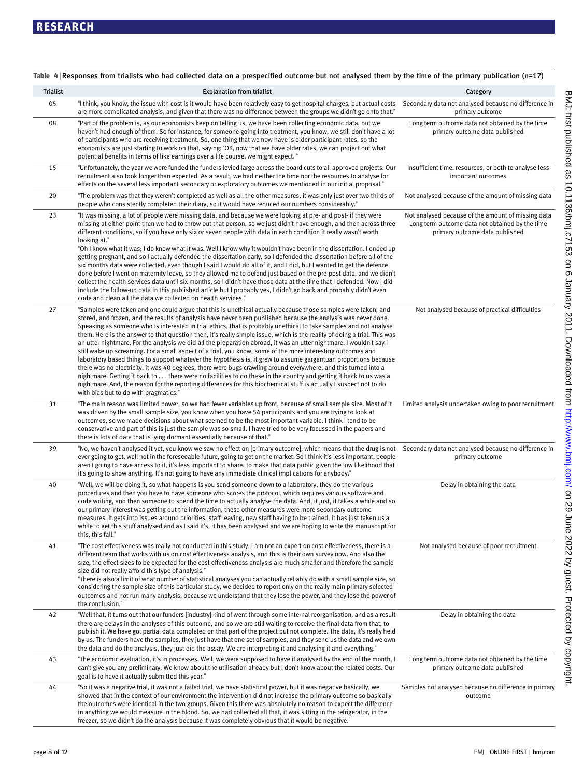| <b>Trialist</b> | <b>Explanation from trialist</b>                                                                                                                                                                                                                                                                                                                                                                                                                                                                                                                                                                                                                                                                                                                                                                                                                                                                                                                                                                                                                                                                                                                                                                                                                   | Category                                                                                                                                |
|-----------------|----------------------------------------------------------------------------------------------------------------------------------------------------------------------------------------------------------------------------------------------------------------------------------------------------------------------------------------------------------------------------------------------------------------------------------------------------------------------------------------------------------------------------------------------------------------------------------------------------------------------------------------------------------------------------------------------------------------------------------------------------------------------------------------------------------------------------------------------------------------------------------------------------------------------------------------------------------------------------------------------------------------------------------------------------------------------------------------------------------------------------------------------------------------------------------------------------------------------------------------------------|-----------------------------------------------------------------------------------------------------------------------------------------|
| 05              | "I think, you know, the issue with cost is it would have been relatively easy to get hospital charges, but actual costs<br>are more complicated analysis, and given that there was no difference between the groups we didn't go onto that."                                                                                                                                                                                                                                                                                                                                                                                                                                                                                                                                                                                                                                                                                                                                                                                                                                                                                                                                                                                                       | Secondary data not analysed because no difference in<br>primary outcome                                                                 |
| 08              | "Part of the problem is, as our economists keep on telling us, we have been collecting economic data, but we<br>haven't had enough of them. So for instance, for someone going into treatment, you know, we still don't have a lot<br>of participants who are receiving treatment. So, one thing that we now have is older participant rates, so the<br>economists are just starting to work on that, saying: 'OK, now that we have older rates, we can project out what<br>potential benefits in terms of like earnings over a life course, we might expect."                                                                                                                                                                                                                                                                                                                                                                                                                                                                                                                                                                                                                                                                                     | Long term outcome data not obtained by the time<br>primary outcome data published                                                       |
| 15              | "Unfortunately, the year we were funded the funders levied large across the board cuts to all approved projects. Our<br>recruitment also took longer than expected. As a result, we had neither the time nor the resources to analyse for<br>effects on the several less important secondary or exploratory outcomes we mentioned in our initial proposal."                                                                                                                                                                                                                                                                                                                                                                                                                                                                                                                                                                                                                                                                                                                                                                                                                                                                                        | Insufficient time, resources, or both to analyse less<br>important outcomes                                                             |
| 20              | "The problem was that they weren't completed as well as all the other measures, it was only just over two thirds of<br>people who consistently completed their diary, so it would have reduced our numbers considerably."                                                                                                                                                                                                                                                                                                                                                                                                                                                                                                                                                                                                                                                                                                                                                                                                                                                                                                                                                                                                                          | Not analysed because of the amount of missing data                                                                                      |
| 23              | "It was missing, a lot of people were missing data, and because we were looking at pre- and post- if they were<br>missing at either point then we had to throw out that person, so we just didn't have enough, and then across three<br>different conditions, so if you have only six or seven people with data in each condition it really wasn't worth<br>looking at."<br>"Oh I know what it was; I do know what it was. Well I know why it wouldn't have been in the dissertation. I ended up<br>getting pregnant, and so I actually defended the dissertation early, so I defended the dissertation before all of the<br>six months data were collected, even though I said I would do all of it, and I did, but I wanted to get the defence<br>done before I went on maternity leave, so they allowed me to defend just based on the pre-post data, and we didn't<br>collect the health services data until six months, so I didn't have those data at the time that I defended. Now I did<br>include the follow-up data in this published article but I probably yes, I didn't go back and probably didn't even<br>code and clean all the data we collected on health services."                                                             | Not analysed because of the amount of missing data<br>Long term outcome data not obtained by the time<br>primary outcome data published |
| 27              | "Samples were taken and one could argue that this is unethical actually because those samples were taken, and<br>stored, and frozen, and the results of analysis have never been published because the analysis was never done.<br>Speaking as someone who is interested in trial ethics, that is probably unethical to take samples and not analyse<br>them. Here is the answer to that question then, it's really simple issue, which is the reality of doing a trial. This was<br>an utter nightmare. For the analysis we did all the preparation abroad, it was an utter nightmare. I wouldn't say I<br>still wake up screaming. For a small aspect of a trial, you know, some of the more interesting outcomes and<br>laboratory based things to support whatever the hypothesis is, it grew to assume gargantuan proportions because<br>there was no electricity, it was 40 degrees, there were bugs crawling around everywhere, and this turned into a<br>nightmare. Getting it back to there were no facilities to do these in the country and getting it back to us was a<br>nightmare. And, the reason for the reporting differences for this biochemical stuff is actually I suspect not to do<br>with bias but to do with pragmatics." | Not analysed because of practical difficulties                                                                                          |
| 31              | "The main reason was limited power, so we had fewer variables up front, because of small sample size. Most of it<br>was driven by the small sample size, you know when you have 54 participants and you are trying to look at<br>outcomes, so we made decisions about what seemed to be the most important variable. I think I tend to be<br>conservative and part of this is just the sample was so small. I have tried to be very focussed in the papers and<br>there is lots of data that is lying dormant essentially because of that."                                                                                                                                                                                                                                                                                                                                                                                                                                                                                                                                                                                                                                                                                                        | Limited analysis undertaken owing to poor recruitment                                                                                   |
| 39              | "No, we haven't analysed it yet, you know we saw no effect on [primary outcome], which means that the drug is not<br>ever going to get, well not in the foreseeable future, going to get on the market. So I think it's less important, people<br>aren't going to have access to it, it's less important to share, to make that data public given the low likelihood that<br>it's going to show anything. It's not going to have any immediate clinical implications for anybody."                                                                                                                                                                                                                                                                                                                                                                                                                                                                                                                                                                                                                                                                                                                                                                 | Secondary data not analysed because no difference in<br>primary outcome                                                                 |
| 40              | "Well, we will be doing it, so what happens is you send someone down to a laboratory, they do the various<br>procedures and then you have to have someone who scores the protocol, which requires various software and<br>code writing, and then someone to spend the time to actually analyse the data. And, it just, it takes a while and so<br>our primary interest was getting out the information, these other measures were more secondary outcome<br>measures. It gets into issues around priorities, staff leaving, new staff having to be trained, it has just taken us a<br>while to get this stuff analysed and as I said it's, it has been analysed and we are hoping to write the manuscript for<br>this, this fall."                                                                                                                                                                                                                                                                                                                                                                                                                                                                                                                 | Delay in obtaining the data                                                                                                             |
| 41              | "The cost effectiveness was really not conducted in this study. I am not an expert on cost effectiveness, there is a<br>different team that works with us on cost effectiveness analysis, and this is their own survey now. And also the<br>size, the effect sizes to be expected for the cost effectiveness analysis are much smaller and therefore the sample<br>size did not really afford this type of analysis."<br>"There is also a limit of what number of statistical analyses you can actually reliably do with a small sample size, so<br>considering the sample size of this particular study, we decided to report only on the really main primary selected<br>outcomes and not run many analysis, because we understand that they lose the power, and they lose the power of<br>the conclusion."                                                                                                                                                                                                                                                                                                                                                                                                                                      | Not analysed because of poor recruitment                                                                                                |
| 42              | "Well that, it turns out that our funders [industry] kind of went through some internal reorganisation, and as a result<br>there are delays in the analyses of this outcome, and so we are still waiting to receive the final data from that, to<br>publish it. We have got partial data completed on that part of the project but not complete. The data, it's really held<br>by us. The funders have the samples, they just have that one set of samples, and they send us the data and we own<br>the data and do the analysis, they just did the assay. We are interpreting it and analysing it and everything."                                                                                                                                                                                                                                                                                                                                                                                                                                                                                                                                                                                                                                | Delay in obtaining the data                                                                                                             |
| 43              | "The economic evaluation, it's in processes. Well, we were supposed to have it analysed by the end of the month, I<br>can't give you any preliminary. We know about the utilisation already but I don't know about the related costs. Our<br>goal is to have it actually submitted this year."                                                                                                                                                                                                                                                                                                                                                                                                                                                                                                                                                                                                                                                                                                                                                                                                                                                                                                                                                     | Long term outcome data not obtained by the time<br>primary outcome data published                                                       |
| 44              | "So it was a negative trial, it was not a failed trial, we have statistical power, but it was negative basically, we<br>showed that in the context of our environment the intervention did not increase the primary outcome so basically<br>the outcomes were identical in the two groups. Given this there was absolutely no reason to expect the difference<br>in anything we would measure in the blood. So, we had collected all that, it was sitting in the refrigerator, in the<br>freezer, so we didn't do the analysis because it was completely obvious that it would be negative."                                                                                                                                                                                                                                                                                                                                                                                                                                                                                                                                                                                                                                                       | Samples not analysed because no difference in primary<br>outcome                                                                        |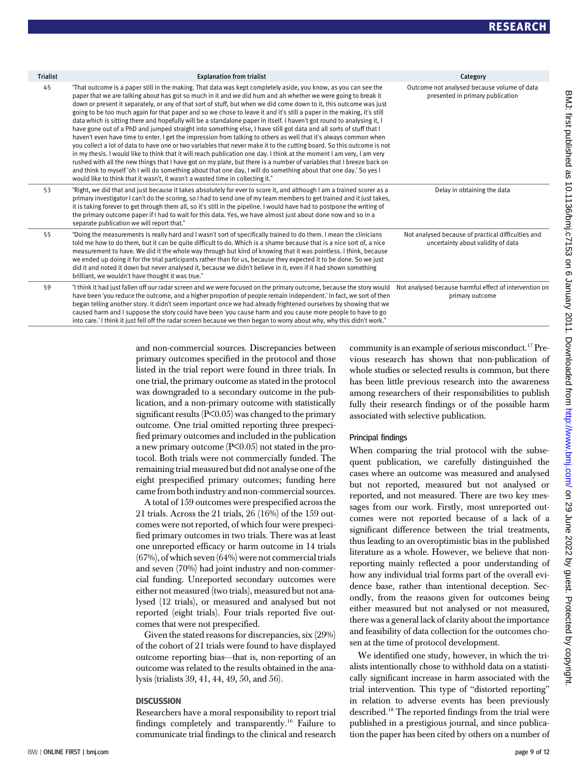| <b>Trialist</b> | <b>Explanation from trialist</b>                                                                                                                                                                                                                                                                                                                                                                                                                                                                                                                                                                                                                                                                                                                                                                                                                                                                                                                                                                                                                                                                                                                                                                                                                                                                                                                                                                                                           | Category                                                                                 |
|-----------------|--------------------------------------------------------------------------------------------------------------------------------------------------------------------------------------------------------------------------------------------------------------------------------------------------------------------------------------------------------------------------------------------------------------------------------------------------------------------------------------------------------------------------------------------------------------------------------------------------------------------------------------------------------------------------------------------------------------------------------------------------------------------------------------------------------------------------------------------------------------------------------------------------------------------------------------------------------------------------------------------------------------------------------------------------------------------------------------------------------------------------------------------------------------------------------------------------------------------------------------------------------------------------------------------------------------------------------------------------------------------------------------------------------------------------------------------|------------------------------------------------------------------------------------------|
| 45              | "That outcome is a paper still in the making. That data was kept completely aside, you know, as you can see the<br>paper that we are talking about has got so much in it and we did hum and ah whether we were going to break it<br>down or present it separately, or any of that sort of stuff, but when we did come down to it, this outcome was just<br>going to be too much again for that paper and so we chose to leave it and it's still a paper in the making, it's still<br>data which is sitting there and hopefully will be a standalone paper in itself. I haven't got round to analysing it, I<br>have gone out of a PhD and jumped straight into something else, I have still got data and all sorts of stuff that I<br>haven't even have time to enter. I get the impression from talking to others as well that it's always common when<br>you collect a lot of data to have one or two variables that never make it to the cutting board. So this outcome is not<br>in my thesis. I would like to think that it will reach publication one day. I think at the moment I am very, I am very<br>rushed with all the new things that I have got on my plate, but there is a number of variables that I breeze back on<br>and think to myself 'oh I will do something about that one day, I will do something about that one day.' So yes I<br>would like to think that it wasn't, it wasn't a wasted time in collecting it." | Outcome not analysed because volume of data<br>presented in primary publication          |
| 53              | "Right, we did that and just because it takes absolutely for ever to score it, and although I am a trained scorer as a<br>primary investigator I can't do the scoring, so I had to send one of my team members to get trained and it just takes,<br>it is taking forever to get through them all, so it's still in the pipeline. I would have had to postpone the writing of<br>the primary outcome paper if I had to wait for this data. Yes, we have almost just about done now and so in a<br>separate publication we will report that."                                                                                                                                                                                                                                                                                                                                                                                                                                                                                                                                                                                                                                                                                                                                                                                                                                                                                                | Delay in obtaining the data                                                              |
| 55              | "Doing the measurements is really hard and I wasn't sort of specifically trained to do them. I mean the clinicians<br>told me how to do them, but it can be quite difficult to do. Which is a shame because that is a nice sort of, a nice<br>measurement to have. We did it the whole way through but kind of knowing that it was pointless. I think, because<br>we ended up doing it for the trial participants rather than for us, because they expected it to be done. So we just<br>did it and noted it down but never analysed it, because we didn't believe in it, even if it had shown something<br>brilliant, we wouldn't have thought it was true."                                                                                                                                                                                                                                                                                                                                                                                                                                                                                                                                                                                                                                                                                                                                                                              | Not analysed because of practical difficulties and<br>uncertainty about validity of data |
| 59              | "I think it had just fallen off our radar screen and we were focused on the primary outcome, because the story would<br>have been 'you reduce the outcome, and a higher proportion of people remain independent.' In fact, we sort of then<br>began telling another story. It didn't seem important once we had already frightened ourselves by showing that we<br>caused harm and I suppose the story could have been 'you cause harm and you cause more people to have to go<br>into care.' I think it just fell off the radar screen because we then began to worry about why, why this didn't work."                                                                                                                                                                                                                                                                                                                                                                                                                                                                                                                                                                                                                                                                                                                                                                                                                                   | Not analysed because harmful effect of intervention on<br>primary outcome                |

and non-commercial sources. Discrepancies between primary outcomes specified in the protocol and those listed in the trial report were found in three trials. In one trial, the primary outcome as stated in the protocol was downgraded to a secondary outcome in the publication, and a non-primary outcome with statistically significant results  $(P< 0.05)$  was changed to the primary outcome. One trial omitted reporting three prespecified primary outcomes and included in the publication a new primary outcome  $(P<0.05)$  not stated in the protocol. Both trials were not commercially funded. The remaining trial measured but did not analyse one of the eight prespecified primary outcomes; funding here came from both industry and non-commercial sources.

A total of 159 outcomes were prespecified across the 21 trials. Across the 21 trials, 26 (16%) of the 159 outcomes were not reported, of which four were prespecified primary outcomes in two trials. There was at least one unreported efficacy or harm outcome in 14 trials (67%), of which seven (64%) were not commercial trials and seven (70%) had joint industry and non-commercial funding. Unreported secondary outcomes were either not measured (two trials), measured but not analysed (12 trials), or measured and analysed but not reported (eight trials). Four trials reported five outcomes that were not prespecified.

Given the stated reasons for discrepancies, six (29%) of the cohort of 21 trials were found to have displayed outcome reporting bias—that is, non-reporting of an outcome was related to the results obtained in the analysis (trialists 39, 41, 44, 49, 50, and 56).

#### **DISCUSSION**

Researchers have a moral responsibility to report trial findings completely and transparently.16 Failure to communicate trial findings to the clinical and research community is an example of serious misconduct.17 Previous research has shown that non-publication of whole studies or selected results is common, but there has been little previous research into the awareness among researchers of their responsibilities to publish fully their research findings or of the possible harm associated with selective publication.

#### Principal findings

When comparing the trial protocol with the subsequent publication, we carefully distinguished the cases where an outcome was measured and analysed but not reported, measured but not analysed or reported, and not measured. There are two key messages from our work. Firstly, most unreported outcomes were not reported because of a lack of a significant difference between the trial treatments, thus leading to an overoptimistic bias in the published literature as a whole. However, we believe that nonreporting mainly reflected a poor understanding of how any individual trial forms part of the overall evidence base, rather than intentional deception. Secondly, from the reasons given for outcomes being either measured but not analysed or not measured, there was a general lack of clarity about the importance and feasibility of data collection for the outcomes chosen at the time of protocol development.

We identified one study, however, in which the trialists intentionally chose to withhold data on a statistically significant increase in harm associated with the trial intervention. This type of "distorted reporting" in relation to adverse events has been previously described.18 The reported findings from the trial were published in a prestigious journal, and since publication the paper has been cited by others on a number of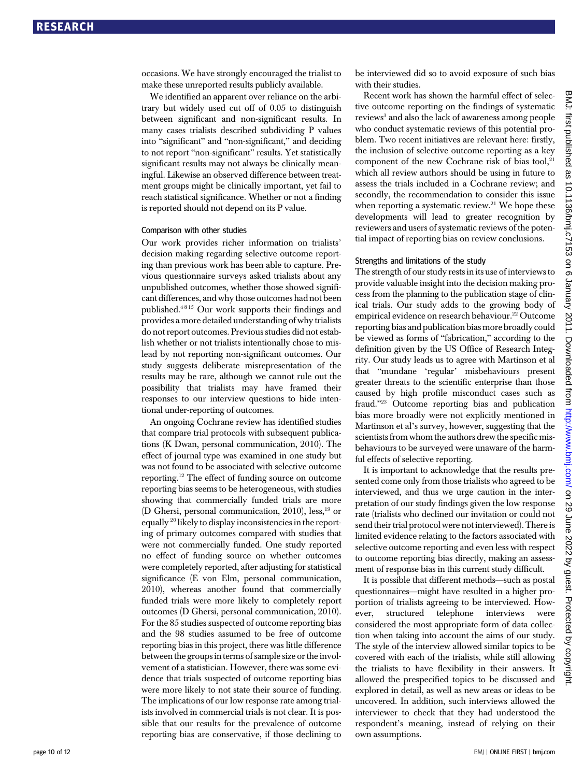occasions. We have strongly encouraged the trialist to make these unreported results publicly available.

We identified an apparent over reliance on the arbitrary but widely used cut off of 0.05 to distinguish between significant and non-significant results. In many cases trialists described subdividing P values into "significant" and "non-significant," and deciding to not report "non-significant" results. Yet statistically significant results may not always be clinically meaningful. Likewise an observed difference between treatment groups might be clinically important, yet fail to reach statistical significance. Whether or not a finding is reported should not depend on its P value.

#### Comparison with other studies

Our work provides richer information on trialists' decision making regarding selective outcome reporting than previous work has been able to capture. Previous questionnaire surveys asked trialists about any unpublished outcomes, whether those showed significant differences, and why those outcomes had not been published.4 8 15 Our work supports their findings and provides a more detailed understanding of why trialists do not report outcomes. Previous studies did not establish whether or not trialists intentionally chose to mislead by not reporting non-significant outcomes. Our study suggests deliberate misrepresentation of the results may be rare, although we cannot rule out the possibility that trialists may have framed their responses to our interview questions to hide intentional under-reporting of outcomes.

An ongoing Cochrane review has identified studies that compare trial protocols with subsequent publications (K Dwan, personal communication, 2010). The effect of journal type was examined in one study but was not found to be associated with selective outcome reporting.12 The effect of funding source on outcome reporting bias seems to be heterogeneous, with studies showing that commercially funded trials are more (D Ghersi, personal communication,  $2010$ ), less,<sup>19</sup> or equally <sup>20</sup> likely to display inconsistencies in the reporting of primary outcomes compared with studies that were not commercially funded. One study reported no effect of funding source on whether outcomes were completely reported, after adjusting for statistical significance (E von Elm, personal communication, 2010), whereas another found that commercially funded trials were more likely to completely report outcomes (D Ghersi, personal communication, 2010). For the 85 studies suspected of outcome reporting bias and the 98 studies assumed to be free of outcome reporting bias in this project, there was little difference between the groups in terms of sample size or the involvement of a statistician. However, there was some evidence that trials suspected of outcome reporting bias were more likely to not state their source of funding. The implications of our low response rate among trialists involved in commercial trials is not clear. It is possible that our results for the prevalence of outcome reporting bias are conservative, if those declining to be interviewed did so to avoid exposure of such bias with their studies.

Recent work has shown the harmful effect of selective outcome reporting on the findings of systematic reviews<sup>3</sup> and also the lack of awareness among people who conduct systematic reviews of this potential problem. Two recent initiatives are relevant here: firstly, the inclusion of selective outcome reporting as a key component of the new Cochrane risk of bias tool, $21$ which all review authors should be using in future to assess the trials included in a Cochrane review; and secondly, the recommendation to consider this issue when reporting a systematic review.<sup>21</sup> We hope these developments will lead to greater recognition by reviewers and users of systematic reviews of the potential impact of reporting bias on review conclusions.

#### Strengths and limitations of the study

The strength of our study rests in its use of interviews to provide valuable insight into the decision making process from the planning to the publication stage of clinical trials. Our study adds to the growing body of empirical evidence on research behaviour.<sup>22</sup> Outcome reporting bias and publication bias more broadly could be viewed as forms of "fabrication," according to the definition given by the US Office of Research Integrity. Our study leads us to agree with Martinson et al that "mundane 'regular' misbehaviours present greater threats to the scientific enterprise than those caused by high profile misconduct cases such as fraud."<sup>23</sup> Outcome reporting bias and publication bias more broadly were not explicitly mentioned in Martinson et al's survey, however, suggesting that the scientists from whom the authors drew the specific misbehaviours to be surveyed were unaware of the harmful effects of selective reporting.

It is important to acknowledge that the results presented come only from those trialists who agreed to be interviewed, and thus we urge caution in the interpretation of our study findings given the low response rate (trialists who declined our invitation or could not send their trial protocol were not interviewed). There is limited evidence relating to the factors associated with selective outcome reporting and even less with respect to outcome reporting bias directly, making an assessment of response bias in this current study difficult.

It is possible that different methods—such as postal questionnaires—might have resulted in a higher proportion of trialists agreeing to be interviewed. However, structured telephone interviews were considered the most appropriate form of data collection when taking into account the aims of our study. The style of the interview allowed similar topics to be covered with each of the trialists, while still allowing the trialists to have flexibility in their answers. It allowed the prespecified topics to be discussed and explored in detail, as well as new areas or ideas to be uncovered. In addition, such interviews allowed the interviewer to check that they had understood the respondent's meaning, instead of relying on their own assumptions.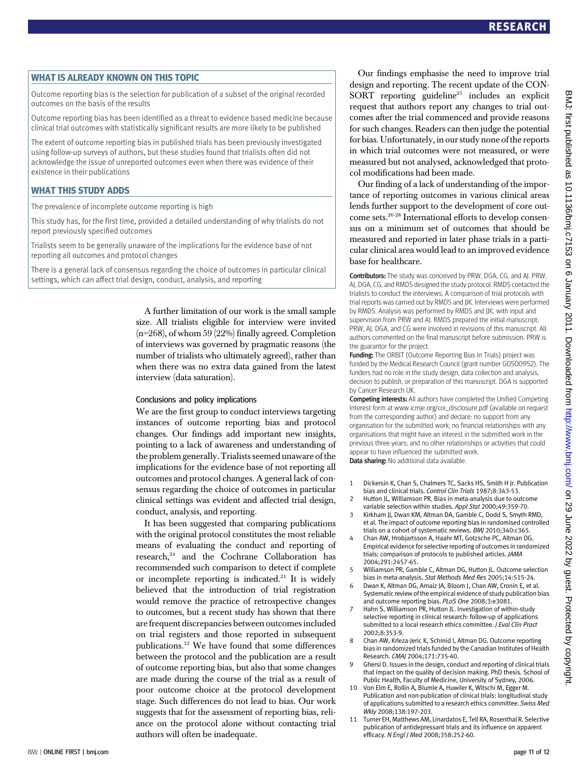#### WHAT IS ALREADY KNOWN ON THIS TOPIC

Outcome reporting bias is the selection for publication of a subset of the original recorded outcomes on the basis of the results

Outcome reporting bias has been identified as a threat to evidence based medicine because clinical trial outcomes with statistically significant results are more likely to be published

The extent of outcome reporting bias in published trials has been previously investigated using follow-up surveys of authors, but these studies found that trialists often did not acknowledge the issue of unreported outcomes even when there was evidence of their existence in their publications

#### WHAT THIS STUDY ADDS

The prevalence of incomplete outcome reporting is high

This study has, for the first time, provided a detailed understanding of why trialists do not report previously specified outcomes

Trialists seem to be generally unaware of the implications for the evidence base of not reporting all outcomes and protocol changes

There is a general lack of consensus regarding the choice of outcomes in particular clinical settings, which can affect trial design, conduct, analysis, and reporting

> A further limitation of our work is the small sample size. All trialists eligible for interview were invited (n=268), of whom 59 (22%) finally agreed. Completion of interviews was governed by pragmatic reasons (the number of trialists who ultimately agreed), rather than when there was no extra data gained from the latest interview (data saturation).

#### Conclusions and policy implications

We are the first group to conduct interviews targeting instances of outcome reporting bias and protocol changes. Our findings add important new insights, pointing to a lack of awareness and understanding of the problem generally. Trialists seemed unaware of the implications for the evidence base of not reporting all outcomes and protocol changes. A general lack of consensus regarding the choice of outcomes in particular clinical settings was evident and affected trial design, conduct, analysis, and reporting.

It has been suggested that comparing publications with the original protocol constitutes the most reliable means of evaluating the conduct and reporting of research,24 and the Cochrane Collaboration has recommended such comparison to detect if complete or incomplete reporting is indicated.<sup>21</sup> It is widely believed that the introduction of trial registration would remove the practice of retrospective changes to outcomes, but a recent study has shown that there are frequent discrepancies between outcomes included on trial registers and those reported in subsequent publications.12 We have found that some differences between the protocol and the publication are a result of outcome reporting bias, but also that some changes are made during the course of the trial as a result of poor outcome choice at the protocol development stage. Such differences do not lead to bias. Our work suggests that for the assessment of reporting bias, reliance on the protocol alone without contacting trial authors will often be inadequate.

Our findings emphasise the need to improve trial design and reporting. The recent update of the CON-SORT reporting guideline<sup>25</sup> includes an explicit request that authors report any changes to trial outcomes after the trial commenced and provide reasons for such changes. Readers can then judge the potential for bias. Unfortunately, in our study none of the reports in which trial outcomes were not measured, or were measured but not analysed, acknowledged that protocol modifications had been made.

Our finding of a lack of understanding of the importance of reporting outcomes in various clinical areas lends further support to the development of core outcome sets.26-28 International efforts to develop consensus on a minimum set of outcomes that should be measured and reported in later phase trials in a particular clinical area would lead to an improved evidence base for healthcare.

Contributors: The study was conceived by PRW, DGA, CG, and AJ. PRW, AJ, DGA, CG, and RMDS designed the study protocol. RMDS contacted the trialists to conduct the interviews. A comparison of trial protocols with trial reports was carried out by RMDS and JJK. Interviews were performed by RMDS. Analysis was performed by RMDS and JJK, with input and supervision from PRW and AJ. RMDS prepared the initial manuscript; PRW, AJ, DGA, and CG were involved in revisions of this manuscript. All authors commented on the final manuscript before submission. PRW is the guarantor for the project.

**Funding:** The ORBIT (Outcome Reporting Bias In Trials) project was funded by the Medical Research Council (grant number G0500952). The funders had no role in the study design, data collection and analysis, decision to publish, or preparation of this manuscript. DGA is supported by Cancer Research UK.

Competing interests: All authors have completed the Unified Competing Interest form at www.icmje.org/coi\_disclosure.pdf (available on request from the corresponding author) and declare: no support from any organisation for the submitted work; no financial relationships with any organisations that might have an interest in the submitted work in the previous three years; and no other relationships or activities that could appear to have influenced the submitted work. Data sharing: No additional data available.

- 1 Dickersin K, Chan S, Chalmers TC, Sacks HS, Smith H Jr. Publication bias and clinical trials. Control Clin Trials 1987;8:343-53.
- 2 Hutton JL, Williamson PR. Bias in meta-analysis due to outcome variable selection within studies. Appl Stat 2000;49:359-70.
- 3 Kirkham JJ, Dwan KM, Altman DA, Gamble C, Dodd S, Smyth RMD, et al. The impact of outcome reporting bias in randomised controlled trials on a cohort of systematic reviews. BMJ 2010;340:c365.
- 4 Chan AW, Hrobjartsson A, Haahr MT, Gotzsche PC, Altman DG. Empirical evidence for selective reporting of outcomes in randomized trials: comparison of protocols to published articles. JAMA 2004;291:2457-65.
- 5 Williamson PR, Gamble C, Altman DG, Hutton JL. Outcome selection bias in meta-analysis. Stat Methods Med Res 2005;14:515-24.
- 6 Dwan K, Altman DG, Arnaiz JA, Bloom J, Chan AW, Cronin E, et al. Systematic review of the empirical evidence of study publication bias and outcome reporting bias. PLoS One 2008;3:e3081.
- 7 Hahn S, Williamson PR, Hutton JL. Investigation of within-study selective reporting in clinical research: follow-up of applications submitted to a local research ethics committee. J Eval Clin Pract 2002;8:353-9.
- 8 Chan AW, Krleza-Jeric K, Schmid I, Altman DG. Outcome reporting bias in randomized trials funded by the Canadian Institutes of Health Research. CMAJ 2004;171:735-40.
- Ghersi D. Issues in the design, conduct and reporting of clinical trials that impact on the quality of decision making. PhD thesis. School of Public Health, Faculty of Medicine, University of Sydney, 2006.
- 10 Von Elm E, Rollin A, Blumle A, Huwiler K, Witschi M, Egger M. Publication and non-publication of clinical trials: longitudinal study of applications submitted to a research ethics committee. Swiss Med Wkly 2008;138:197-203.
- 11 Turner EH, Matthews AM, Linardatos E, Tell RA, Rosenthal R. Selective publication of antidepressant trials and its influence on apparent efficacy. N Engl J Med 2008;358:252-60.